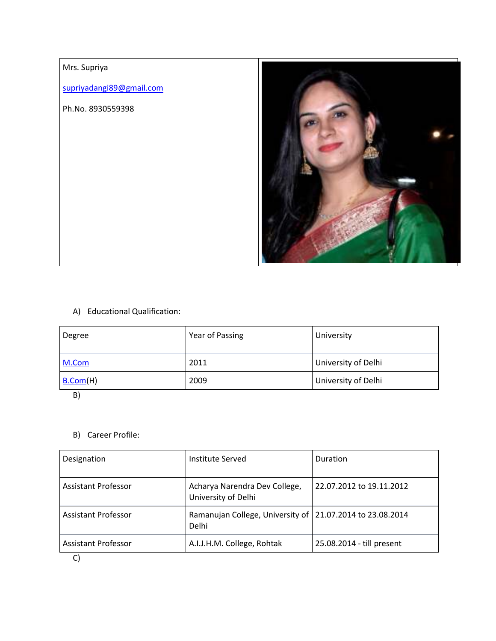### Mrs. Supriya

supriyadangi89@gmail.com

Ph.No. 8930559398



## A) Educational Qualification:

| Degree   | Year of Passing | University          |
|----------|-----------------|---------------------|
| M.Com    | 2011            | University of Delhi |
| B.Com(H) | 2009            | University of Delhi |

B)

### B) Career Profile:

| Designation                                 | Institute Served                                                   | Duration                  |
|---------------------------------------------|--------------------------------------------------------------------|---------------------------|
| <b>Assistant Professor</b>                  | Acharya Narendra Dev College,<br>University of Delhi               | 22.07.2012 to 19.11.2012  |
| <b>Assistant Professor</b>                  | Ramanujan College, University of 21.07.2014 to 23.08.2014<br>Delhi |                           |
| <b>Assistant Professor</b><br>$\sim$ $\sim$ | A.I.J.H.M. College, Rohtak                                         | 25.08.2014 - till present |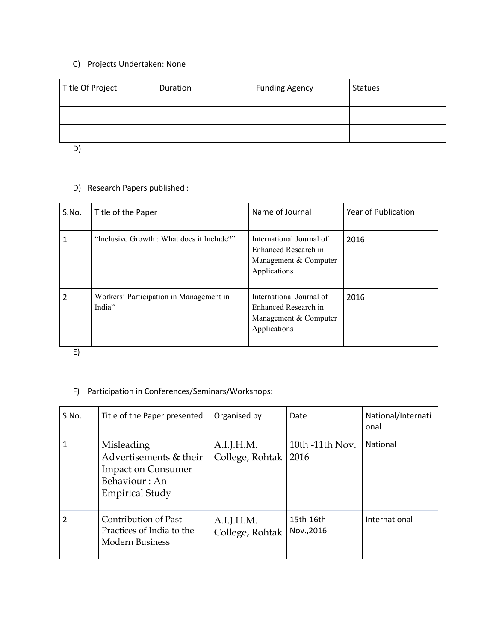# C) Projects Undertaken: None

| Title Of Project | Duration | <b>Funding Agency</b> | <b>Statues</b> |
|------------------|----------|-----------------------|----------------|
|                  |          |                       |                |
|                  |          |                       |                |

D)

### D) Research Papers published :

| S.No. | Title of the Paper                                | Name of Journal                                                                           | Year of Publication |
|-------|---------------------------------------------------|-------------------------------------------------------------------------------------------|---------------------|
|       | "Inclusive Growth : What does it Include?"        | International Journal of<br>Enhanced Research in<br>Management & Computer<br>Applications | 2016                |
| 2     | Workers' Participation in Management in<br>India" | International Journal of<br>Enhanced Research in<br>Management & Computer<br>Applications | 2016                |

E)

## F) Participation in Conferences/Seminars/Workshops:

| S.No. | Title of the Paper presented                                                                                 | Organised by                  | Date                    | National/Internati<br>onal |
|-------|--------------------------------------------------------------------------------------------------------------|-------------------------------|-------------------------|----------------------------|
|       | Misleading<br>Advertisements & their<br><b>Impact on Consumer</b><br>Behaviour: An<br><b>Empirical Study</b> | A.I.J.H.M.<br>College, Rohtak | 10th -11th Nov.<br>2016 | <b>National</b>            |
| 2     | Contribution of Past<br>Practices of India to the<br>Modern Business                                         | A.I.J.H.M.<br>College, Rohtak | 15th-16th<br>Nov., 2016 | International              |